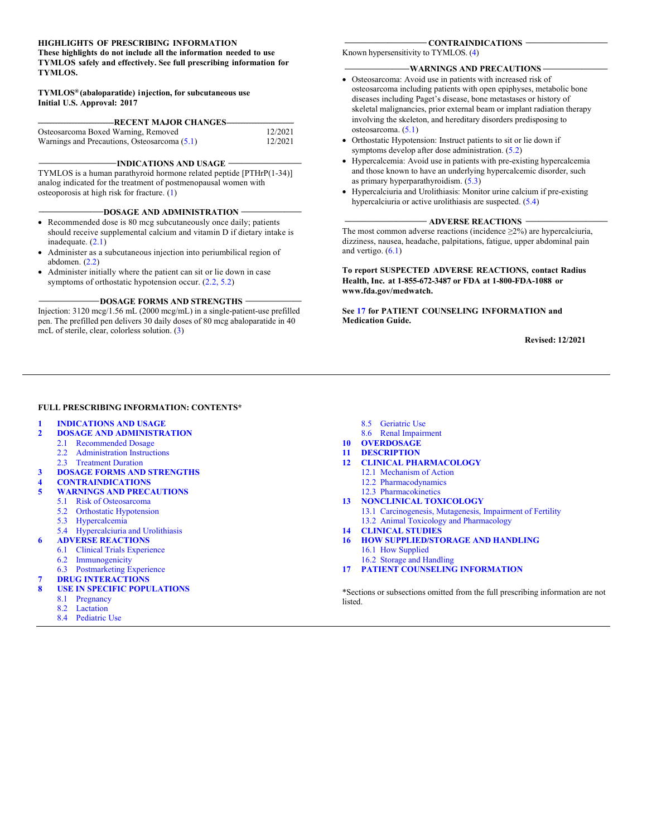#### **HIGHLIGHTS OF PRESCRIBING INFORMATION**

**These highlights do not include all the information needed to use TYMLOS safely and effectively. See full prescribing information for TYMLOS.**

#### **TYMLOS® (abaloparatide) injection, for subcutaneous use Initial U.S. Approval: 2017**

| Osteosarcoma Boxed Warning, Removed          | 12/2021 |  |  |
|----------------------------------------------|---------|--|--|
| Warnings and Precautions, Osteosarcoma (5.1) | 12/2021 |  |  |

**\_\_\_\_\_\_\_\_\_\_\_\_\_\_\_\_\_\_INDICATIONS AND USAGE \_\_\_\_\_\_\_\_\_\_\_\_\_\_\_\_\_**

TYMLOS is a human parathyroid hormone related peptide [PTHrP(1-34)] analog indicated for the treatment of postmenopausal women with osteoporosis at high risk for fracture. (1)

#### **\_\_\_\_\_\_\_\_\_\_\_\_\_\_\_DOSAGE AND ADMINISTRATION \_\_\_\_\_\_\_\_\_\_\_\_\_\_**

- Recommended dose is 80 mcg subcutaneously once daily; patients should receive supplemental calcium and vitamin D if dietary intake is inadequate. [\(2.1\)](#page-1-0)
- Administer as a subcutaneous injection into periumbilical region of abdomen. [\(2.2\)](#page-1-1)
- Administer initially where the patient can sit or lie down in case symptoms of orthostatic hypotension occur.  $(2.2, 5.2)$

#### **\_\_\_\_\_\_\_\_\_\_\_\_\_\_DOSAGE FORMS AND STRENGTHS \_\_\_\_\_\_\_\_\_\_\_\_\_**

Injection: 3120 mcg/1.56 mL (2000 mcg/mL) in a single-patient-use prefilled pen. The prefilled pen delivers 30 daily doses of 80 mcg abaloparatide in 40 mcL of sterile, clear, colorless solution. (3)

#### **\_\_\_\_\_\_\_\_\_\_\_\_\_\_\_\_\_\_\_ CONTRAINDICATIONS \_\_\_\_\_\_\_\_\_\_\_\_\_\_\_\_\_\_\_**

Known hypersensitivity to TYMLOS. (4)

#### **\_\_\_\_\_\_\_\_\_\_\_\_\_\_\_WARNINGS AND PRECAUTIONS \_\_\_\_\_\_\_\_\_\_\_\_\_\_\_**

- Osteosarcoma: Avoid use in patients with increased risk of osteosarcoma including patients with open epiphyses, metabolic bone diseases including Paget's disease, bone metastases or history of skeletal malignancies, prior external beam or implant radiation therapy involving the skeleton, and hereditary disorders predisposing to osteosarcoma. (5.1)
- Orthostatic Hypotension: Instruct patients to sit or lie down if symptoms develop after dose administration. (5.2)
- Hypercalcemia: Avoid use in patients with pre-existing hypercalcemia and those known to have an underlying hypercalcemic disorder, such as primary hyperparathyroidism. (5.3)
- Hypercalciuria and Urolithiasis: Monitor urine calcium if pre-existing hypercalciuria or active urolithiasis are suspected. (5.4)

#### **\_\_\_\_\_\_\_\_\_\_\_\_\_\_\_\_\_\_\_ ADVERSE REACTIONS \_\_\_\_\_\_\_\_\_\_\_\_\_\_\_\_\_\_\_**

The most common adverse reactions (incidence  $\geq 2\%$ ) are hypercalciuria, dizziness, nausea, headache, palpitations, fatigue, upper abdominal pain and vertigo. (6.1)

**To report SUSPECTED ADVERSE REACTIONS, contact Radius Health, Inc. at 1-855-672-3487 or FDA at 1-800-FDA-1088 or [www.fda.gov/medwatch.](http://www.fda.gov/medwatch)**

**See 17 for PATIENT COUNSELING INFORMATION and Medication Guide.**

**Revised: 12/2021**

#### **FULL PRESCRIBING INFORMATION: CONTENTS\***

- **1 [INDICATIONS AND USAGE](#page-1-2)**
- **2 [DOSAGE AND ADMINISTRATION](#page-1-3)**
	- 2.1 [Recommended Dosage](#page-1-4)
	- 2.2 [Administration Instructions](#page-1-5)
	- 2.3 Treatment Duration
- **3 [DOSAGE FORMS AND STRENGTHS](#page-1-6)**
- **4 [CONTRAINDICATIONS](#page-2-0)**
- **5 [WARNINGS AND PRECAUTIONS](#page-2-1)**
	- 5.1 [Risk of Osteosarcoma](#page-2-2)
	- 5.2 [Orthostatic Hypotension](#page-2-3)<br>5.3 Hypercalcemia
	- 5.3 [Hypercalcemia](#page-2-4)<br>5.4 Hypercalciuria
	- [Hypercalciuria and Urolithiasis](#page-2-5)
	- **6 [ADVERSE REACTIONS](#page-3-0)**
- 6.1 [Clinical Trials Experience](#page-3-1)
	- 6.2 [Immunogenicity](#page-5-0)<br>6.3 Postmarketing E
- [Postmarketing Experience](#page-6-0)
- **7 [DRUG INTERACTIONS](#page-6-1)**
- **8 [USE IN SPECIFIC POPULATIONS](#page-6-2)**
	- 8.1 [Pregnancy](#page-6-3)<br>8.2 Lactation
	- [Lactation](#page-6-4)
	- 8.4 [Pediatric Use](#page-6-5)
- 8.5 [Geriatric Use](#page-7-0)
- 8.6 [Renal Impairment](#page-7-1)
- **10 [OVERDOSAGE](#page-7-2)**
- **11 [DESCRIPTION](#page-7-3)**
- **12 [CLINICAL PHARMACOLOGY](#page-8-0)**
	- 12.1 [Mechanism of Action](#page-8-1)
	- 12.2 [Pharmacodynamics](#page-8-2)
- 12.3 [Pharmacokinetics](#page-8-3)
- **13 [NONCLINICAL TOXICOLOGY](#page-10-0)**
- 13.1 [Carcinogenesis, Mutagenesis, Impairment of Fertility](#page-10-1) 13.2 [Animal Toxicology and Pharmacology](#page-10-2)
- **14 [CLINICAL STUDIES](#page-11-0)**
- **16 [HOW SUPPLIED/STORAGE AND HANDLING](#page-14-0)** 16.1 [How Supplied](#page-14-1)
	- 16.2 [Storage and Handling](#page-15-0)
- **17 [PATIENT COUNSELING INFORMATION](#page-15-1)**

\*Sections or subsections omitted from the full prescribing information are not listed.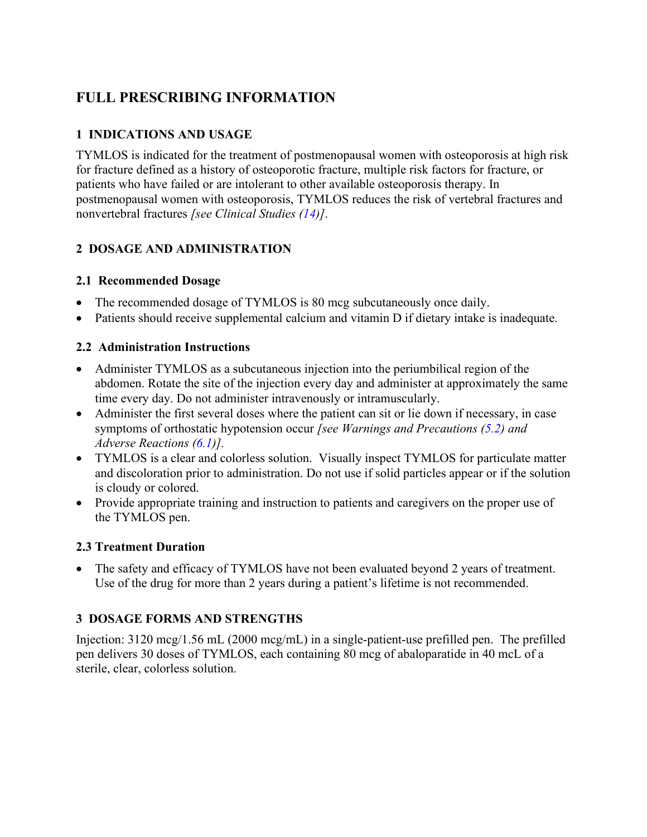# **FULL PRESCRIBING INFORMATION**

# <span id="page-1-2"></span>**1 INDICATIONS AND USAGE**

TYMLOS is indicated for the treatment of postmenopausal women with osteoporosis at high risk for fracture defined as a history of osteoporotic fracture, multiple risk factors for fracture, or patients who have failed or are intolerant to other available osteoporosis therapy. In postmenopausal women with osteoporosis, TYMLOS reduces the risk of vertebral fractures and nonvertebral fractures *[see Clinical Studies (14)]*.

# <span id="page-1-3"></span>**2 DOSAGE AND ADMINISTRATION**

#### <span id="page-1-4"></span><span id="page-1-0"></span>**2.1 Recommended Dosage**

- The recommended dosage of TYMLOS is 80 mcg subcutaneously once daily.
- Patients should receive supplemental calcium and vitamin D if dietary intake is inadequate.

#### <span id="page-1-5"></span><span id="page-1-1"></span>**2.2 Administration Instructions**

- Administer TYMLOS as a subcutaneous injection into the periumbilical region of the abdomen. Rotate the site of the injection every day and administer at approximately the same time every day. Do not administer intravenously or intramuscularly.
- Administer the first several doses where the patient can sit or lie down if necessary, in case symptoms of orthostatic hypotension occur *[see Warnings and Precautions (5.2) and Adverse Reactions (6.1)].*
- TYMLOS is a clear and colorless solution. Visually inspect TYMLOS for particulate matter and discoloration prior to administration. Do not use if solid particles appear or if the solution is cloudy or colored.
- Provide appropriate training and instruction to patients and caregivers on the proper use of the TYMLOS pen.

### **2.3 Treatment Duration**

• The safety and efficacy of TYMLOS have not been evaluated beyond 2 years of treatment. Use of the drug for more than 2 years during a patient's lifetime is not recommended.

# <span id="page-1-6"></span>**3 DOSAGE FORMS AND STRENGTHS**

Injection: 3120 mcg/1.56 mL (2000 mcg/mL) in a single-patient-use prefilled pen. The prefilled pen delivers 30 doses of TYMLOS, each containing 80 mcg of abaloparatide in 40 mcL of a sterile, clear, colorless solution.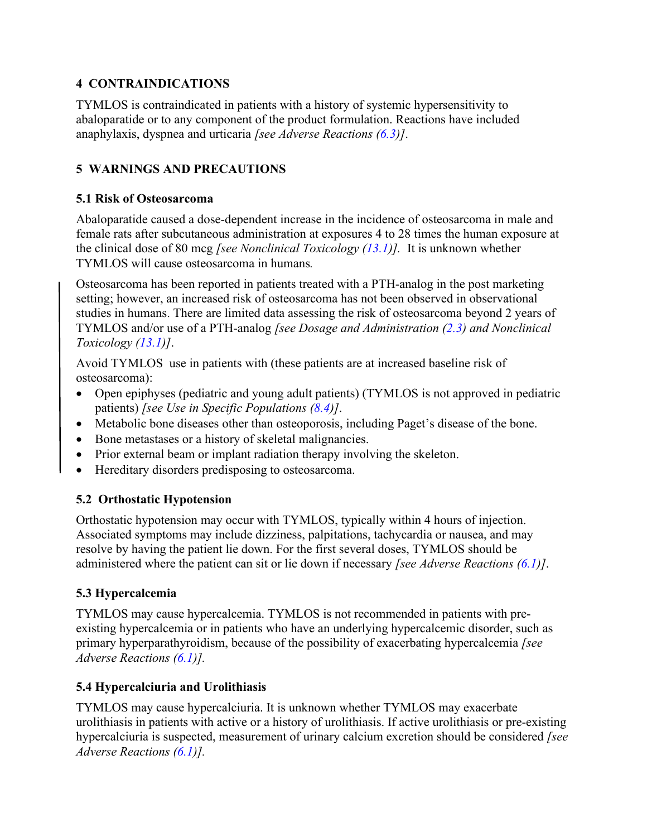### <span id="page-2-0"></span>**4 CONTRAINDICATIONS**

TYMLOS is contraindicated in patients with a history of systemic hypersensitivity to abaloparatide or to any component of the product formulation. Reactions have included anaphylaxis, dyspnea and urticaria *[see Adverse Reactions (6.3)]*.

### <span id="page-2-1"></span>**5 WARNINGS AND PRECAUTIONS**

#### <span id="page-2-2"></span>**5.1 Risk of Osteosarcoma**

Abaloparatide caused a dose-dependent increase in the incidence of osteosarcoma in male and female rats after subcutaneous administration at exposures 4 to 28 times the human exposure at the clinical dose of 80 mcg *[see Nonclinical Toxicology (13.1)].* It is unknown whether TYMLOS will cause osteosarcoma in humans*.*

Osteosarcoma has been reported in patients treated with a PTH-analog in the post marketing setting; however, an increased risk of osteosarcoma has not been observed in observational studies in humans. There are limited data assessing the risk of osteosarcoma beyond 2 years of TYMLOS and/or use of a PTH-analog *[see Dosage and Administration (2.3) and Nonclinical Toxicology (13.1)]*.

Avoid TYMLOS use in patients with (these patients are at increased baseline risk of osteosarcoma):

- Open epiphyses (pediatric and young adult patients) (TYMLOS is not approved in pediatric patients) *[see Use in Specific Populations (8.4)]*.
- Metabolic bone diseases other than osteoporosis, including Paget's disease of the bone.
- Bone metastases or a history of skeletal malignancies.
- Prior external beam or implant radiation therapy involving the skeleton.
- Hereditary disorders predisposing to osteosarcoma.

### <span id="page-2-3"></span>**5.2 Orthostatic Hypotension**

Orthostatic hypotension may occur with TYMLOS, typically within 4 hours of injection. Associated symptoms may include dizziness, palpitations, tachycardia or nausea, and may resolve by having the patient lie down. For the first several doses, TYMLOS should be administered where the patient can sit or lie down if necessary *[see Adverse Reactions (6.1)]*.

### <span id="page-2-4"></span>**5.3 Hypercalcemia**

TYMLOS may cause hypercalcemia. TYMLOS is not recommended in patients with preexisting hypercalcemia or in patients who have an underlying hypercalcemic disorder, such as primary hyperparathyroidism, because of the possibility of exacerbating hypercalcemia *[see Adverse Reactions (6.1)].*

#### <span id="page-2-5"></span>**5.4 Hypercalciuria and Urolithiasis**

TYMLOS may cause hypercalciuria. It is unknown whether TYMLOS may exacerbate urolithiasis in patients with active or a history of urolithiasis. If active urolithiasis or pre-existing hypercalciuria is suspected, measurement of urinary calcium excretion should be considered *[see Adverse Reactions (6.1)].*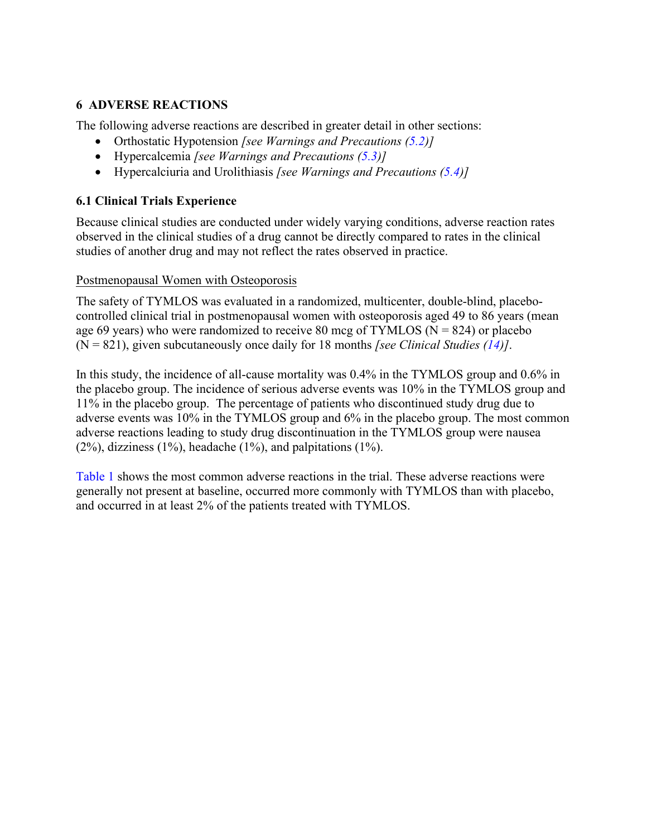#### <span id="page-3-0"></span>**6 ADVERSE REACTIONS**

The following adverse reactions are described in greater detail in other sections:

- Orthostatic Hypotension *[see Warnings and Precautions (5.2)]*
- Hypercalcemia *[see Warnings and Precautions (5.3)]*
- Hypercalciuria and Urolithiasis *[see Warnings and Precautions (5.4)]*

#### <span id="page-3-1"></span>**6.1 Clinical Trials Experience**

Because clinical studies are conducted under widely varying conditions, adverse reaction rates observed in the clinical studies of a drug cannot be directly compared to rates in the clinical studies of another drug and may not reflect the rates observed in practice.

#### Postmenopausal Women with Osteoporosis

The safety of TYMLOS was evaluated in a randomized, multicenter, double-blind, placebocontrolled clinical trial in postmenopausal women with osteoporosis aged 49 to 86 years (mean age 69 years) who were randomized to receive 80 mcg of TYMLOS ( $N = 824$ ) or placebo (N = 821), given subcutaneously once daily for 18 months *[see Clinical Studies (14)]*.

In this study, the incidence of all-cause mortality was 0.4% in the TYMLOS group and 0.6% in the placebo group. The incidence of serious adverse events was 10% in the TYMLOS group and 11% in the placebo group. The percentage of patients who discontinued study drug due to adverse events was 10% in the TYMLOS group and 6% in the placebo group. The most common adverse reactions leading to study drug discontinuation in the TYMLOS group were nausea  $(2\%)$ , dizziness  $(1\%)$ , headache  $(1\%)$ , and palpitations  $(1\%)$ .

[Table 1](#page-4-0) shows the most common adverse reactions in the trial. These adverse reactions were generally not present at baseline, occurred more commonly with TYMLOS than with placebo, and occurred in at least 2% of the patients treated with TYMLOS.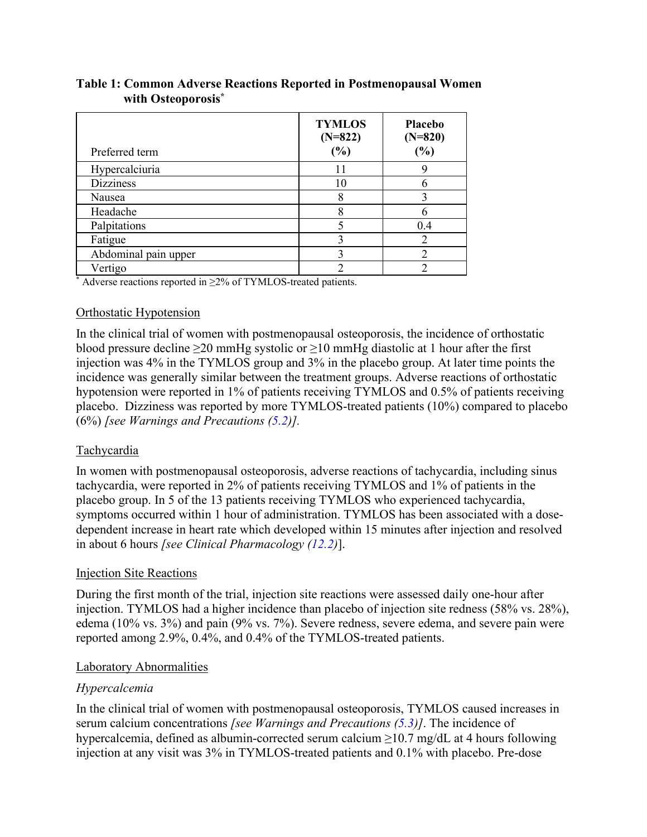| Preferred term       | <b>TYMLOS</b><br>$(N=822)$<br>(%) | <b>Placebo</b><br>$(N=820)$<br>(%) |
|----------------------|-----------------------------------|------------------------------------|
| Hypercalciuria       | 11                                |                                    |
| <b>Dizziness</b>     | 10                                |                                    |
| Nausea               | 8                                 | 2                                  |
| Headache             | 8                                 |                                    |
| Palpitations         | ς                                 | 0.4                                |
| Fatigue              | 3                                 |                                    |
| Abdominal pain upper | 3                                 |                                    |
| Vertigo              | ◠                                 |                                    |

<span id="page-4-0"></span>**Table 1: Common Adverse Reactions Reported in Postmenopausal Women with Osteoporosis\***

\* Adverse reactions reported in  $\geq$ 2% of TYMLOS-treated patients.

#### Orthostatic Hypotension

In the clinical trial of women with postmenopausal osteoporosis, the incidence of orthostatic blood pressure decline  $\geq 20$  mmHg systolic or  $\geq 10$  mmHg diastolic at 1 hour after the first injection was 4% in the TYMLOS group and 3% in the placebo group. At later time points the incidence was generally similar between the treatment groups. Adverse reactions of orthostatic hypotension were reported in 1% of patients receiving TYMLOS and 0.5% of patients receiving placebo. Dizziness was reported by more TYMLOS-treated patients (10%) compared to placebo (6%) *[see Warnings and Precautions (5.2)].*

#### Tachycardia

In women with postmenopausal osteoporosis, adverse reactions of tachycardia, including sinus tachycardia, were reported in 2% of patients receiving TYMLOS and 1% of patients in the placebo group. In 5 of the 13 patients receiving TYMLOS who experienced tachycardia, symptoms occurred within 1 hour of administration. TYMLOS has been associated with a dosedependent increase in heart rate which developed within 15 minutes after injection and resolved in about 6 hours *[see Clinical Pharmacology (12.2)*].

#### Injection Site Reactions

During the first month of the trial, injection site reactions were assessed daily one-hour after injection. TYMLOS had a higher incidence than placebo of injection site redness (58% vs. 28%), edema (10% vs. 3%) and pain (9% vs. 7%). Severe redness, severe edema, and severe pain were reported among 2.9%, 0.4%, and 0.4% of the TYMLOS-treated patients.

#### Laboratory Abnormalities

#### *Hypercalcemia*

In the clinical trial of women with postmenopausal osteoporosis, TYMLOS caused increases in serum calcium concentrations *[see Warnings and Precautions (5.3)]*. The incidence of hypercalcemia, defined as albumin-corrected serum calcium ≥10.7 mg/dL at 4 hours following injection at any visit was 3% in TYMLOS-treated patients and 0.1% with placebo. Pre-dose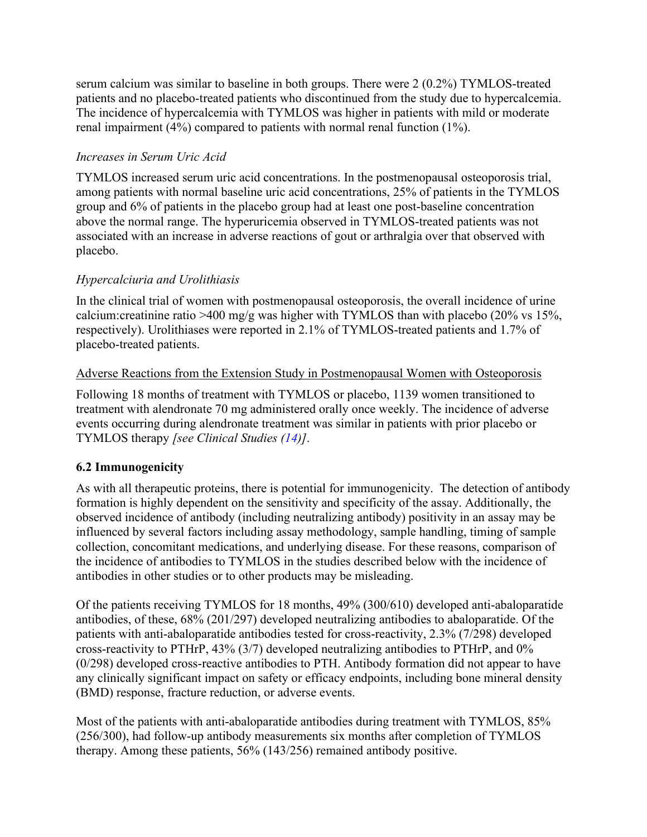serum calcium was similar to baseline in both groups. There were 2 (0.2%) TYMLOS-treated patients and no placebo-treated patients who discontinued from the study due to hypercalcemia. The incidence of hypercalcemia with TYMLOS was higher in patients with mild or moderate renal impairment (4%) compared to patients with normal renal function (1%).

#### *Increases in Serum Uric Acid*

TYMLOS increased serum uric acid concentrations. In the postmenopausal osteoporosis trial, among patients with normal baseline uric acid concentrations, 25% of patients in the TYMLOS group and 6% of patients in the placebo group had at least one post-baseline concentration above the normal range. The hyperuricemia observed in TYMLOS-treated patients was not associated with an increase in adverse reactions of gout or arthralgia over that observed with placebo.

#### *Hypercalciuria and Urolithiasis*

In the clinical trial of women with postmenopausal osteoporosis, the overall incidence of urine calcium:creatinine ratio  $>400$  mg/g was higher with TYMLOS than with placebo (20% vs 15%, respectively). Urolithiases were reported in 2.1% of TYMLOS-treated patients and 1.7% of placebo-treated patients.

#### Adverse Reactions from the Extension Study in Postmenopausal Women with Osteoporosis

Following 18 months of treatment with TYMLOS or placebo, 1139 women transitioned to treatment with alendronate 70 mg administered orally once weekly. The incidence of adverse events occurring during alendronate treatment was similar in patients with prior placebo or TYMLOS therapy *[see Clinical Studies (14)]*.

### <span id="page-5-0"></span>**6.2 Immunogenicity**

As with all therapeutic proteins, there is potential for immunogenicity. The detection of antibody formation is highly dependent on the sensitivity and specificity of the assay. Additionally, the observed incidence of antibody (including neutralizing antibody) positivity in an assay may be influenced by several factors including assay methodology, sample handling, timing of sample collection, concomitant medications, and underlying disease. For these reasons, comparison of the incidence of antibodies to TYMLOS in the studies described below with the incidence of antibodies in other studies or to other products may be misleading.

Of the patients receiving TYMLOS for 18 months, 49% (300/610) developed anti-abaloparatide antibodies, of these, 68% (201/297) developed neutralizing antibodies to abaloparatide. Of the patients with anti-abaloparatide antibodies tested for cross-reactivity, 2.3% (7/298) developed cross-reactivity to PTHrP, 43% (3/7) developed neutralizing antibodies to PTHrP, and 0% (0/298) developed cross-reactive antibodies to PTH. Antibody formation did not appear to have any clinically significant impact on safety or efficacy endpoints, including bone mineral density (BMD) response, fracture reduction, or adverse events.

Most of the patients with anti-abaloparatide antibodies during treatment with TYMLOS, 85% (256/300), had follow-up antibody measurements six months after completion of TYMLOS therapy. Among these patients, 56% (143/256) remained antibody positive.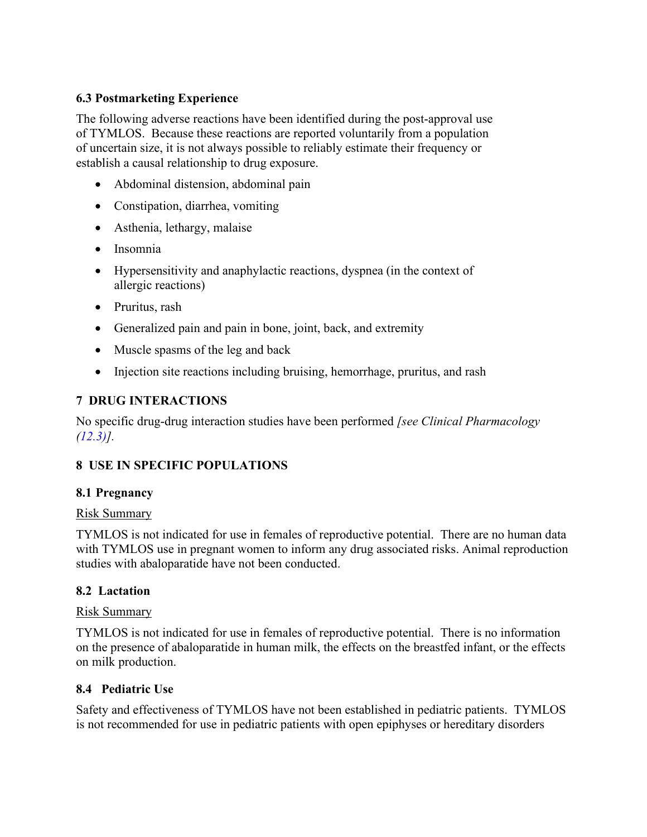#### <span id="page-6-0"></span>**6.3 Postmarketing Experience**

The following adverse reactions have been identified during the post-approval use of TYMLOS. Because these reactions are reported voluntarily from a population of uncertain size, it is not always possible to reliably estimate their frequency or establish a causal relationship to drug exposure.

- Abdominal distension, abdominal pain
- Constipation, diarrhea, vomiting
- Asthenia, lethargy, malaise
- Insomnia
- Hypersensitivity and anaphylactic reactions, dyspnea (in the context of allergic reactions)
- Pruritus, rash
- Generalized pain and pain in bone, joint, back, and extremity
- Muscle spasms of the leg and back
- Injection site reactions including bruising, hemorrhage, pruritus, and rash

#### <span id="page-6-1"></span>**7 DRUG INTERACTIONS**

No specific drug-drug interaction studies have been performed *[see Clinical Pharmacology (12.3)].*

### <span id="page-6-2"></span>**8 USE IN SPECIFIC POPULATIONS**

#### <span id="page-6-3"></span>**8.1 Pregnancy**

#### Risk Summary

TYMLOS is not indicated for use in females of reproductive potential. There are no human data with TYMLOS use in pregnant women to inform any drug associated risks. Animal reproduction studies with abaloparatide have not been conducted.

#### <span id="page-6-4"></span>**8.2 Lactation**

#### Risk Summary

TYMLOS is not indicated for use in females of reproductive potential. There is no information on the presence of abaloparatide in human milk, the effects on the breastfed infant, or the effects on milk production.

#### <span id="page-6-5"></span>**8.4 Pediatric Use**

Safety and effectiveness of TYMLOS have not been established in pediatric patients. TYMLOS is not recommended for use in pediatric patients with open epiphyses or hereditary disorders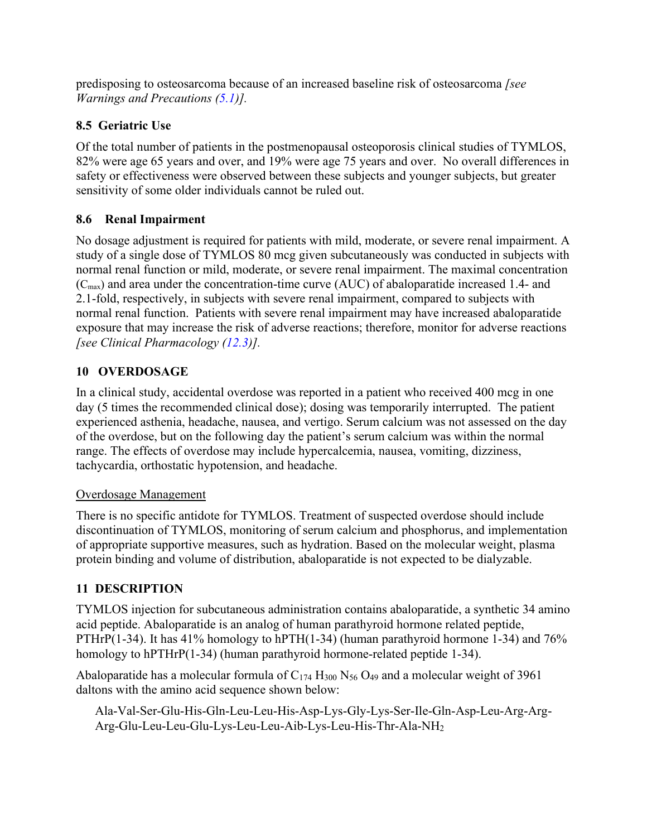predisposing to osteosarcoma because of an increased baseline risk of osteosarcoma *[see Warnings and Precautions (5.1)].*

# <span id="page-7-0"></span>**8.5 Geriatric Use**

Of the total number of patients in the postmenopausal osteoporosis clinical studies of TYMLOS, 82% were age 65 years and over, and 19% were age 75 years and over. No overall differences in safety or effectiveness were observed between these subjects and younger subjects, but greater sensitivity of some older individuals cannot be ruled out.

# <span id="page-7-1"></span>**8.6 Renal Impairment**

No dosage adjustment is required for patients with mild, moderate, or severe renal impairment. A study of a single dose of TYMLOS 80 mcg given subcutaneously was conducted in subjects with normal renal function or mild, moderate, or severe renal impairment. The maximal concentration  $(C<sub>max</sub>)$  and area under the concentration-time curve (AUC) of abaloparatide increased 1.4- and 2.1-fold, respectively, in subjects with severe renal impairment, compared to subjects with normal renal function. Patients with severe renal impairment may have increased abaloparatide exposure that may increase the risk of adverse reactions; therefore, monitor for adverse reactions *[see Clinical Pharmacology (12.3)].*

# <span id="page-7-2"></span>**10 OVERDOSAGE**

In a clinical study, accidental overdose was reported in a patient who received 400 mcg in one day (5 times the recommended clinical dose); dosing was temporarily interrupted. The patient experienced asthenia, headache, nausea, and vertigo. Serum calcium was not assessed on the day of the overdose, but on the following day the patient's serum calcium was within the normal range. The effects of overdose may include hypercalcemia, nausea, vomiting, dizziness, tachycardia, orthostatic hypotension, and headache.

### Overdosage Management

There is no specific antidote for TYMLOS. Treatment of suspected overdose should include discontinuation of TYMLOS, monitoring of serum calcium and phosphorus, and implementation of appropriate supportive measures, such as hydration. Based on the molecular weight, plasma protein binding and volume of distribution, abaloparatide is not expected to be dialyzable.

### <span id="page-7-3"></span>**11 DESCRIPTION**

TYMLOS injection for subcutaneous administration contains abaloparatide, a synthetic 34 amino acid peptide. Abaloparatide is an analog of human parathyroid hormone related peptide, PTHrP(1-34). It has 41% homology to hPTH(1-34) (human parathyroid hormone 1-34) and 76% homology to hPTHrP(1-34) (human parathyroid hormone-related peptide 1-34).

Abaloparatide has a molecular formula of  $C_{174}$  H<sub>300</sub> N<sub>56</sub> O<sub>49</sub> and a molecular weight of 3961 daltons with the amino acid sequence shown below:

Ala-Val-Ser-Glu-His-Gln-Leu-Leu-His-Asp-Lys-Gly-Lys-Ser-Ile-Gln-Asp-Leu-Arg-Arg-Arg-Glu-Leu-Leu-Glu-Lys-Leu-Leu-Aib-Lys-Leu-His-Thr-Ala-NH2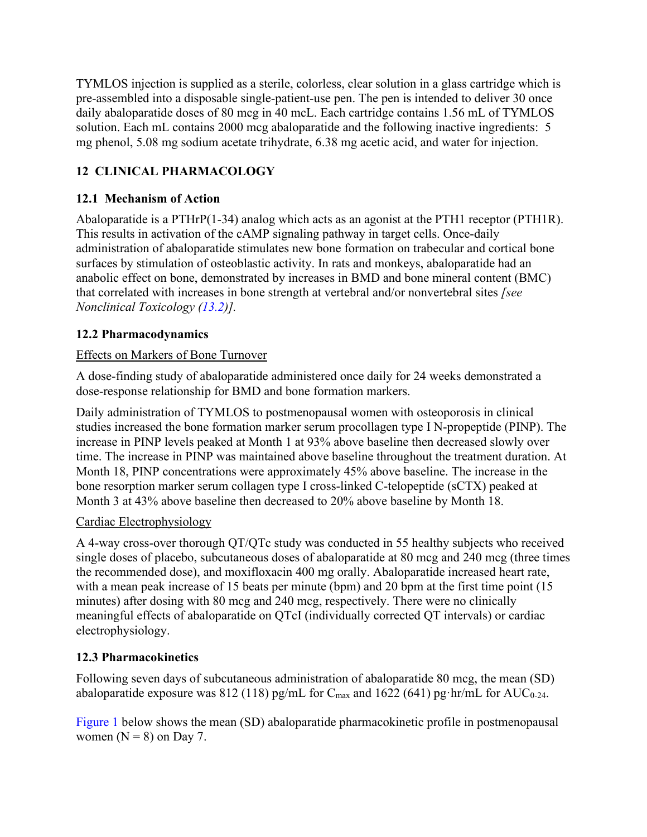TYMLOS injection is supplied as a sterile, colorless, clear solution in a glass cartridge which is pre-assembled into a disposable single-patient-use pen. The pen is intended to deliver 30 once daily abaloparatide doses of 80 mcg in 40 mcL. Each cartridge contains 1.56 mL of TYMLOS solution. Each mL contains 2000 mcg abaloparatide and the following inactive ingredients: 5 mg phenol, 5.08 mg sodium acetate trihydrate, 6.38 mg acetic acid, and water for injection.

# <span id="page-8-0"></span>**12 CLINICAL PHARMACOLOGY**

### <span id="page-8-1"></span>**12.1 Mechanism of Action**

Abaloparatide is a PTHrP(1-34) analog which acts as an agonist at the PTH1 receptor (PTH1R). This results in activation of the cAMP signaling pathway in target cells. Once-daily administration of abaloparatide stimulates new bone formation on trabecular and cortical bone surfaces by stimulation of osteoblastic activity. In rats and monkeys, abaloparatide had an anabolic effect on bone, demonstrated by increases in BMD and bone mineral content (BMC) that correlated with increases in bone strength at vertebral and/or nonvertebral sites *[see Nonclinical Toxicology (13.2)].*

# <span id="page-8-2"></span>**12.2 Pharmacodynamics**

### Effects on Markers of Bone Turnover

A dose-finding study of abaloparatide administered once daily for 24 weeks demonstrated a dose-response relationship for BMD and bone formation markers.

Daily administration of TYMLOS to postmenopausal women with osteoporosis in clinical studies increased the bone formation marker serum procollagen type I N-propeptide (PINP). The increase in PINP levels peaked at Month 1 at 93% above baseline then decreased slowly over time. The increase in PINP was maintained above baseline throughout the treatment duration. At Month 18, PINP concentrations were approximately 45% above baseline. The increase in the bone resorption marker serum collagen type I cross-linked C-telopeptide (sCTX) peaked at Month 3 at 43% above baseline then decreased to 20% above baseline by Month 18.

### Cardiac Electrophysiology

A 4-way cross-over thorough QT/QTc study was conducted in 55 healthy subjects who received single doses of placebo, subcutaneous doses of abaloparatide at 80 mcg and 240 mcg (three times the recommended dose), and moxifloxacin 400 mg orally. Abaloparatide increased heart rate, with a mean peak increase of 15 beats per minute (bpm) and 20 bpm at the first time point (15 minutes) after dosing with 80 mcg and 240 mcg, respectively. There were no clinically meaningful effects of abaloparatide on QTcI (individually corrected QT intervals) or cardiac electrophysiology.

### <span id="page-8-3"></span>**12.3 Pharmacokinetics**

Following seven days of subcutaneous administration of abaloparatide 80 mcg, the mean (SD) abaloparatide exposure was 812 (118) pg/mL for  $C_{\text{max}}$  and 1622 (641) pg·hr/mL for AUC<sub>0-24</sub>.

Figure 1 below shows the mean (SD) abaloparatide pharmacokinetic profile in postmenopausal women  $(N = 8)$  on Day 7.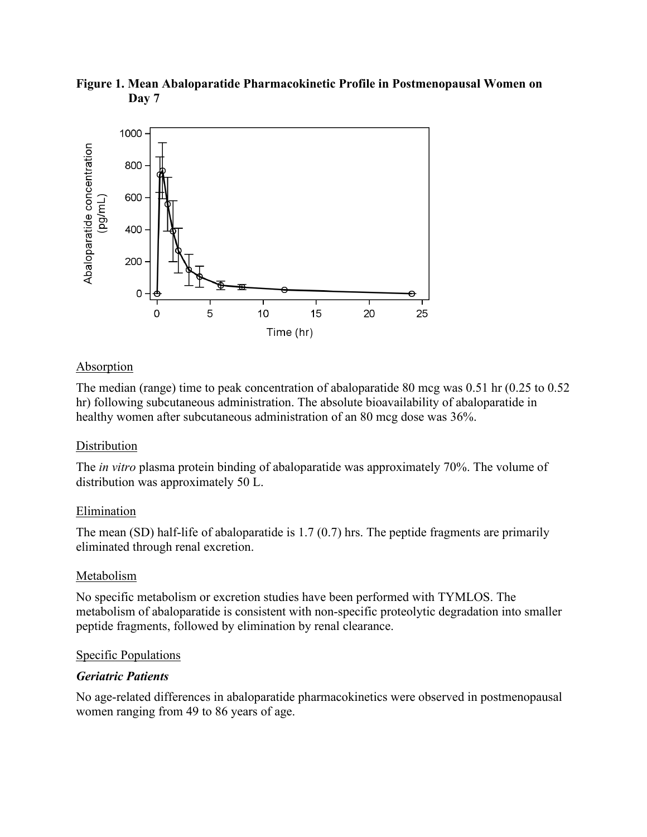

**Figure 1. Mean Abaloparatide Pharmacokinetic Profile in Postmenopausal Women on Day 7**

#### Absorption

The median (range) time to peak concentration of abaloparatide 80 mcg was 0.51 hr (0.25 to 0.52 hr) following subcutaneous administration. The absolute bioavailability of abaloparatide in healthy women after subcutaneous administration of an 80 mcg dose was 36%.

#### **Distribution**

The *in vitro* plasma protein binding of abaloparatide was approximately 70%. The volume of distribution was approximately 50 L.

#### Elimination

The mean (SD) half-life of abaloparatide is 1.7 (0.7) hrs. The peptide fragments are primarily eliminated through renal excretion.

#### Metabolism

No specific metabolism or excretion studies have been performed with TYMLOS. The metabolism of abaloparatide is consistent with non-specific proteolytic degradation into smaller peptide fragments, followed by elimination by renal clearance.

#### Specific Populations

#### *Geriatric Patients*

No age-related differences in abaloparatide pharmacokinetics were observed in postmenopausal women ranging from 49 to 86 years of age.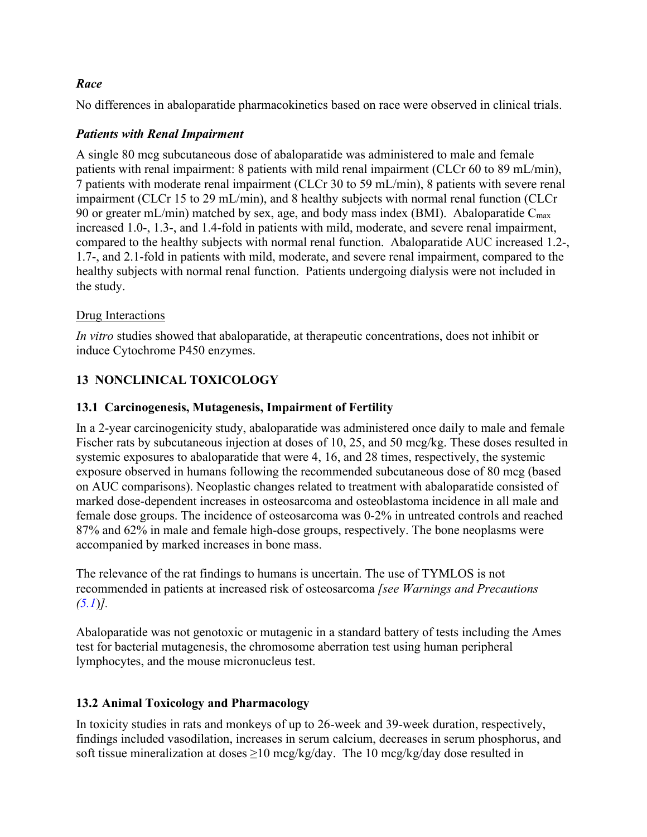#### *Race*

No differences in abaloparatide pharmacokinetics based on race were observed in clinical trials.

### *Patients with Renal Impairment*

A single 80 mcg subcutaneous dose of abaloparatide was administered to male and female patients with renal impairment: 8 patients with mild renal impairment (CLCr 60 to 89 mL/min), 7 patients with moderate renal impairment (CLCr 30 to 59 mL/min), 8 patients with severe renal impairment (CLCr 15 to 29 mL/min), and 8 healthy subjects with normal renal function (CLCr 90 or greater mL/min) matched by sex, age, and body mass index (BMI). Abaloparatide  $C_{\text{max}}$ increased 1.0-, 1.3-, and 1.4-fold in patients with mild, moderate, and severe renal impairment, compared to the healthy subjects with normal renal function. Abaloparatide AUC increased 1.2-, 1.7-, and 2.1-fold in patients with mild, moderate, and severe renal impairment, compared to the healthy subjects with normal renal function. Patients undergoing dialysis were not included in the study.

#### Drug Interactions

*In vitro* studies showed that abaloparatide, at therapeutic concentrations, does not inhibit or induce Cytochrome P450 enzymes.

### <span id="page-10-0"></span>**13 NONCLINICAL TOXICOLOGY**

#### <span id="page-10-1"></span>**13.1 Carcinogenesis, Mutagenesis, Impairment of Fertility**

In a 2-year carcinogenicity study, abaloparatide was administered once daily to male and female Fischer rats by subcutaneous injection at doses of 10, 25, and 50 mcg/kg. These doses resulted in systemic exposures to abaloparatide that were 4, 16, and 28 times, respectively, the systemic exposure observed in humans following the recommended subcutaneous dose of 80 mcg (based on AUC comparisons). Neoplastic changes related to treatment with abaloparatide consisted of marked dose-dependent increases in osteosarcoma and osteoblastoma incidence in all male and female dose groups. The incidence of osteosarcoma was 0-2% in untreated controls and reached 87% and 62% in male and female high-dose groups, respectively. The bone neoplasms were accompanied by marked increases in bone mass.

The relevance of the rat findings to humans is uncertain. The use of TYMLOS is not recommended in patients at increased risk of osteosarcoma *[see Warnings and Precautions (5.1*)*].*

Abaloparatide was not genotoxic or mutagenic in a standard battery of tests including the Ames test for bacterial mutagenesis, the chromosome aberration test using human peripheral lymphocytes, and the mouse micronucleus test.

### <span id="page-10-2"></span>**13.2 Animal Toxicology and Pharmacology**

In toxicity studies in rats and monkeys of up to 26-week and 39-week duration, respectively, findings included vasodilation, increases in serum calcium, decreases in serum phosphorus, and soft tissue mineralization at doses  $\geq$ 10 mcg/kg/day. The 10 mcg/kg/day dose resulted in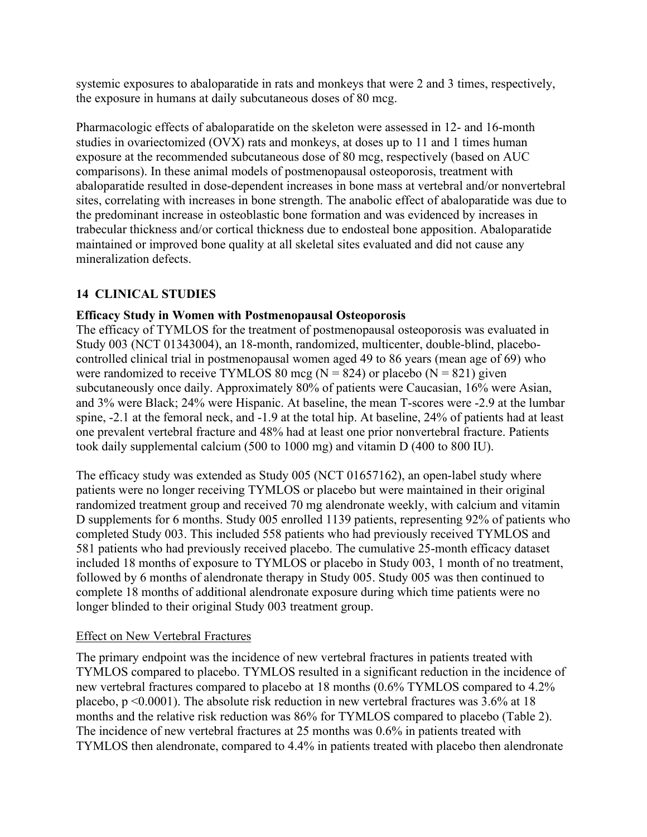systemic exposures to abaloparatide in rats and monkeys that were 2 and 3 times, respectively, the exposure in humans at daily subcutaneous doses of 80 mcg.

Pharmacologic effects of abaloparatide on the skeleton were assessed in 12- and 16-month studies in ovariectomized (OVX) rats and monkeys, at doses up to 11 and 1 times human exposure at the recommended subcutaneous dose of 80 mcg, respectively (based on AUC comparisons). In these animal models of postmenopausal osteoporosis, treatment with abaloparatide resulted in dose-dependent increases in bone mass at vertebral and/or nonvertebral sites, correlating with increases in bone strength. The anabolic effect of abaloparatide was due to the predominant increase in osteoblastic bone formation and was evidenced by increases in trabecular thickness and/or cortical thickness due to endosteal bone apposition. Abaloparatide maintained or improved bone quality at all skeletal sites evaluated and did not cause any mineralization defects.

### <span id="page-11-0"></span>**14 CLINICAL STUDIES**

#### **Efficacy Study in Women with Postmenopausal Osteoporosis**

The efficacy of TYMLOS for the treatment of postmenopausal osteoporosis was evaluated in Study 003 (NCT 01343004), an 18-month, randomized, multicenter, double-blind, placebocontrolled clinical trial in postmenopausal women aged 49 to 86 years (mean age of 69) who were randomized to receive TYMLOS 80 mcg ( $N = 824$ ) or placebo ( $N = 821$ ) given subcutaneously once daily. Approximately 80% of patients were Caucasian, 16% were Asian, and 3% were Black; 24% were Hispanic. At baseline, the mean T-scores were -2.9 at the lumbar spine, -2.1 at the femoral neck, and -1.9 at the total hip. At baseline, 24% of patients had at least one prevalent vertebral fracture and 48% had at least one prior nonvertebral fracture. Patients took daily supplemental calcium (500 to 1000 mg) and vitamin D (400 to 800 IU).

The efficacy study was extended as Study 005 (NCT 01657162), an open-label study where patients were no longer receiving TYMLOS or placebo but were maintained in their original randomized treatment group and received 70 mg alendronate weekly, with calcium and vitamin D supplements for 6 months. Study 005 enrolled 1139 patients, representing 92% of patients who completed Study 003. This included 558 patients who had previously received TYMLOS and 581 patients who had previously received placebo. The cumulative 25-month efficacy dataset included 18 months of exposure to TYMLOS or placebo in Study 003, 1 month of no treatment, followed by 6 months of alendronate therapy in Study 005. Study 005 was then continued to complete 18 months of additional alendronate exposure during which time patients were no longer blinded to their original Study 003 treatment group.

#### Effect on New Vertebral Fractures

The primary endpoint was the incidence of new vertebral fractures in patients treated with TYMLOS compared to placebo. TYMLOS resulted in a significant reduction in the incidence of new vertebral fractures compared to placebo at 18 months (0.6% TYMLOS compared to 4.2% placebo,  $p \le 0.0001$ ). The absolute risk reduction in new vertebral fractures was 3.6% at 18 months and the relative risk reduction was 86% for TYMLOS compared to placebo (Table 2). The incidence of new vertebral fractures at 25 months was 0.6% in patients treated with TYMLOS then alendronate, compared to 4.4% in patients treated with placebo then alendronate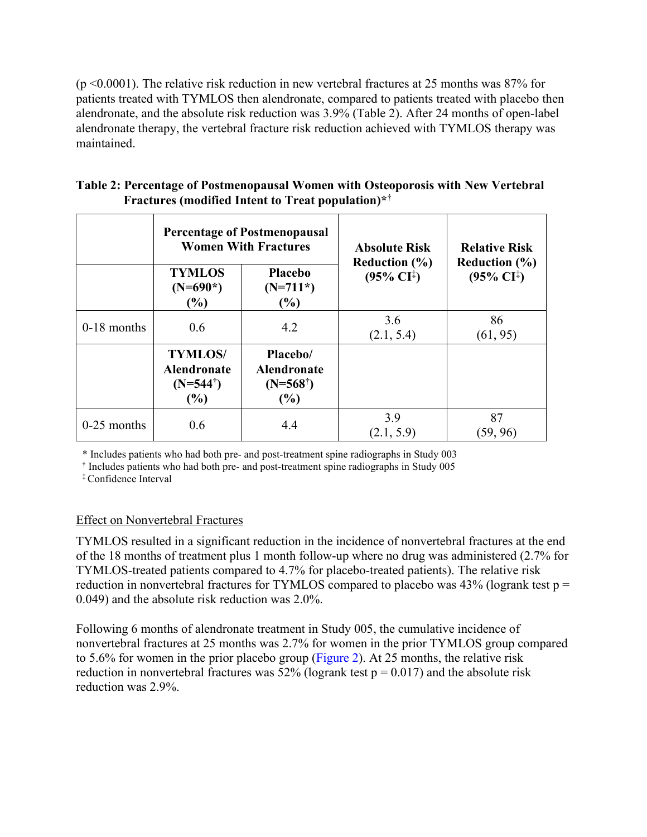( $p \le 0.0001$ ). The relative risk reduction in new vertebral fractures at 25 months was 87% for patients treated with TYMLOS then alendronate, compared to patients treated with placebo then alendronate, and the absolute risk reduction was 3.9% (Table 2). After 24 months of open-label alendronate therapy, the vertebral fracture risk reduction achieved with TYMLOS therapy was maintained.

| Table 2: Percentage of Postmenopausal Women with Osteoporosis with New Vertebral |
|----------------------------------------------------------------------------------|
| <b>Fractures (modified Intent to Treat population)</b> **                        |

|               | <b>Percentage of Postmenopausal</b><br><b>Women With Fractures</b>    |                                                                 | <b>Absolute Risk</b>                                | <b>Relative Risk</b>                                |
|---------------|-----------------------------------------------------------------------|-----------------------------------------------------------------|-----------------------------------------------------|-----------------------------------------------------|
|               | <b>TYMLOS</b><br>$(N=690*)$<br>$\frac{1}{2}$                          | <b>Placebo</b><br>$(N=711*)$<br>$\frac{6}{6}$                   | Reduction $(\% )$<br>$(95\% \text{ CI}^{\ddagger})$ | Reduction $(\% )$<br>$(95\% \text{ CI}^{\ddagger})$ |
| 0-18 months   | 0.6                                                                   | 4.2                                                             | 3.6<br>(2.1, 5.4)                                   | 86<br>(61, 95)                                      |
|               | <b>TYMLOS/</b><br><b>Alendronate</b><br>$(N=544^{\dagger})$<br>$(\%)$ | Placebo/<br><b>Alendronate</b><br>$(N=568^{\dagger})$<br>$(\%)$ |                                                     |                                                     |
| $0-25$ months | 0.6                                                                   | 4.4                                                             | 3.9<br>(2.1, 5.9)                                   | 87<br>(59, 96)                                      |

\* Includes patients who had both pre- and post-treatment spine radiographs in Study 003

**†** Includes patients who had both pre- and post-treatment spine radiographs in Study 005

‡ Confidence Interval

#### Effect on Nonvertebral Fractures

TYMLOS resulted in a significant reduction in the incidence of nonvertebral fractures at the end of the 18 months of treatment plus 1 month follow-up where no drug was administered (2.7% for TYMLOS-treated patients compared to 4.7% for placebo-treated patients). The relative risk reduction in nonvertebral fractures for TYMLOS compared to placebo was  $43\%$  (logrank test p = 0.049) and the absolute risk reduction was 2.0%.

Following 6 months of alendronate treatment in Study 005, the cumulative incidence of nonvertebral fractures at 25 months was 2.7% for women in the prior TYMLOS group compared to 5.6% for women in the prior placebo group (Figure 2). At 25 months, the relative risk reduction in nonvertebral fractures was 52% (logrank test  $p = 0.017$ ) and the absolute risk reduction was 2.9%.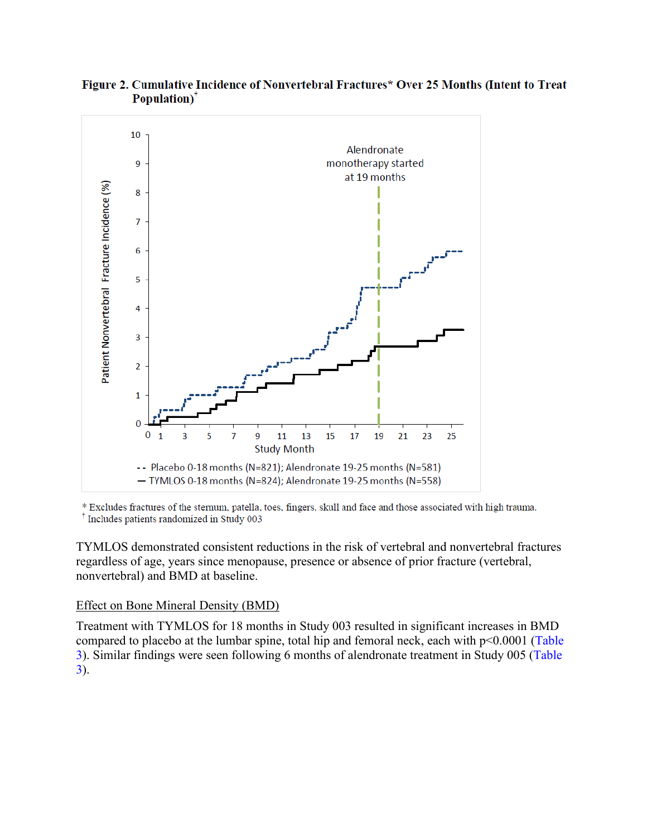



\* Excludes fractures of the sternum, patella, toes, fingers, skull and face and those associated with high trauma. <sup>†</sup> Includes patients randomized in Study 003

TYMLOS demonstrated consistent reductions in the risk of vertebral and nonvertebral fractures regardless of age, years since menopause, presence or absence of prior fracture (vertebral, nonvertebral) and BMD at baseline.

#### Effect on Bone Mineral Density (BMD)

Treatment with TYMLOS for 18 months in Study 003 resulted in significant increases in BMD compared to placebo at the lumbar spine, total hip and femoral neck, each with  $p<0.0001$  (Table 3). Similar findings were seen following 6 months of alendronate treatment in Study 005 (Table 3).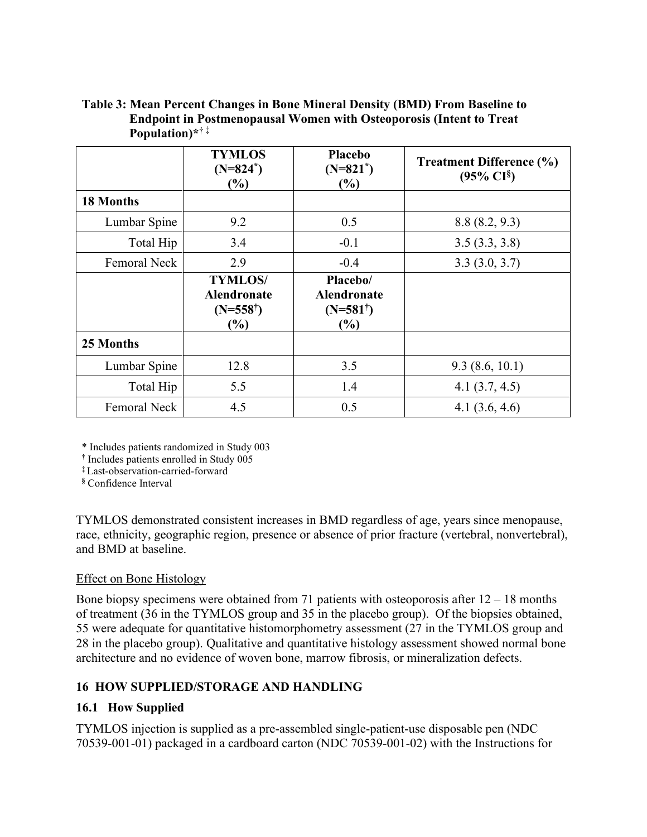**Table 3: Mean Percent Changes in Bone Mineral Density (BMD) From Baseline to Endpoint in Postmenopausal Women with Osteoporosis (Intent to Treat Population)\*†** ‡

|                     | <b>TYMLOS</b><br>$(N=824^*)$<br>(%)                                | <b>Placebo</b><br>$(N=821^*)$<br>(%)                         | <b>Treatment Difference (%)</b><br>$(95\% \text{ CI}^{\$})$ |
|---------------------|--------------------------------------------------------------------|--------------------------------------------------------------|-------------------------------------------------------------|
| <b>18 Months</b>    |                                                                    |                                                              |                                                             |
| Lumbar Spine        | 9.2                                                                | 0.5                                                          | 8.8(8.2, 9.3)                                               |
| Total Hip           | 3.4                                                                | $-0.1$                                                       | 3.5(3.3, 3.8)                                               |
| <b>Femoral Neck</b> | 2.9                                                                | $-0.4$                                                       | 3.3(3.0, 3.7)                                               |
|                     | <b>TYMLOS/</b><br><b>Alendronate</b><br>$(N=558^{\dagger})$<br>(%) | Placebo/<br><b>Alendronate</b><br>$(N=581^{\dagger})$<br>(%) |                                                             |
| 25 Months           |                                                                    |                                                              |                                                             |
| Lumbar Spine        | 12.8                                                               | 3.5                                                          | 9.3(8.6, 10.1)                                              |
| Total Hip           | 5.5                                                                | 1.4                                                          | 4.1 $(3.7, 4.5)$                                            |
| <b>Femoral Neck</b> | 4.5                                                                | 0.5                                                          | 4.1 $(3.6, 4.6)$                                            |

\* Includes patients randomized in Study 003

**†** Includes patients enrolled in Study 005

‡ Last-observation-carried-forward

**§** Confidence Interval

TYMLOS demonstrated consistent increases in BMD regardless of age, years since menopause, race, ethnicity, geographic region, presence or absence of prior fracture (vertebral, nonvertebral), and BMD at baseline.

#### Effect on Bone Histology

Bone biopsy specimens were obtained from 71 patients with osteoporosis after  $12 - 18$  months of treatment (36 in the TYMLOS group and 35 in the placebo group). Of the biopsies obtained, 55 were adequate for quantitative histomorphometry assessment (27 in the TYMLOS group and 28 in the placebo group). Qualitative and quantitative histology assessment showed normal bone architecture and no evidence of woven bone, marrow fibrosis, or mineralization defects.

### <span id="page-14-0"></span>**16 HOW SUPPLIED/STORAGE AND HANDLING**

#### <span id="page-14-1"></span>**16.1 How Supplied**

TYMLOS injection is supplied as a pre-assembled single-patient-use disposable pen (NDC 70539-001-01) packaged in a cardboard carton (NDC 70539-001-02) with the Instructions for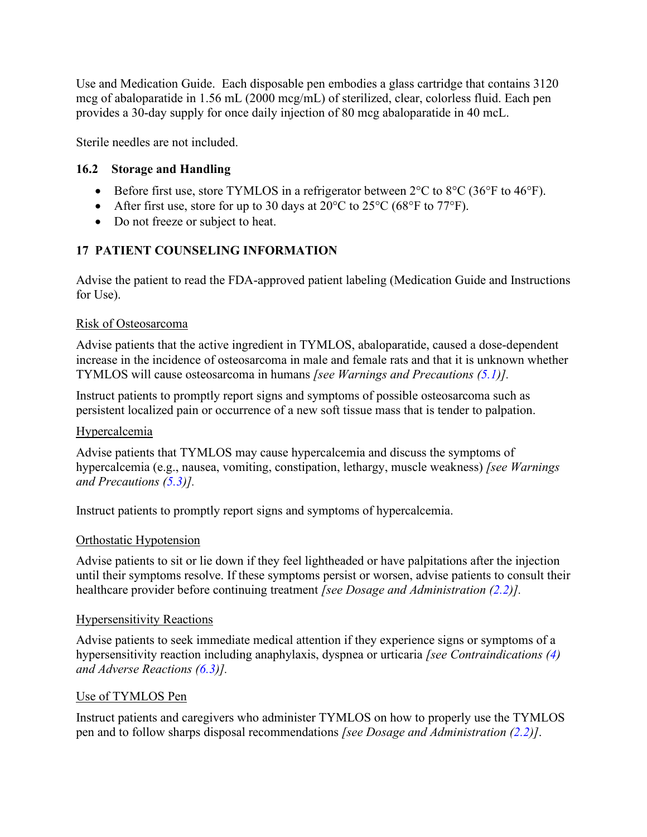Use and Medication Guide. Each disposable pen embodies a glass cartridge that contains 3120 mcg of abaloparatide in 1.56 mL (2000 mcg/mL) of sterilized, clear, colorless fluid. Each pen provides a 30-day supply for once daily injection of 80 mcg abaloparatide in 40 mcL.

Sterile needles are not included.

### **16.2 Storage and Handling**

- <span id="page-15-0"></span>• Before first use, store TYMLOS in a refrigerator between  $2^{\circ}$ C to  $8^{\circ}$ C (36 $^{\circ}$ F to 46 $^{\circ}$ F).
- After first use, store for up to 30 days at  $20^{\circ}$ C to  $25^{\circ}$ C (68°F to 77°F).
- Do not freeze or subject to heat.

### <span id="page-15-1"></span>**17 PATIENT COUNSELING INFORMATION**

Advise the patient to read the FDA-approved patient labeling (Medication Guide and Instructions for Use).

#### Risk of Osteosarcoma

Advise patients that the active ingredient in TYMLOS, abaloparatide, caused a dose-dependent increase in the incidence of osteosarcoma in male and female rats and that it is unknown whether TYMLOS will cause osteosarcoma in humans *[see Warnings and Precautions (5.1)].* 

Instruct patients to promptly report signs and symptoms of possible osteosarcoma such as persistent localized pain or occurrence of a new soft tissue mass that is tender to palpation.

### Hypercalcemia

Advise patients that TYMLOS may cause hypercalcemia and discuss the symptoms of hypercalcemia (e.g., nausea, vomiting, constipation, lethargy, muscle weakness) *[see Warnings and Precautions (5.3)].*

Instruct patients to promptly report signs and symptoms of hypercalcemia.

### Orthostatic Hypotension

Advise patients to sit or lie down if they feel lightheaded or have palpitations after the injection until their symptoms resolve. If these symptoms persist or worsen, advise patients to consult their healthcare provider before continuing treatment *[see Dosage and Administration (2.2)].*

#### Hypersensitivity Reactions

Advise patients to seek immediate medical attention if they experience signs or symptoms of a hypersensitivity reaction including anaphylaxis, dyspnea or urticaria *[see Contraindications (4) and Adverse Reactions (6.3)].*

#### Use of TYMLOS Pen

Instruct patients and caregivers who administer TYMLOS on how to properly use the TYMLOS pen and to follow sharps disposal recommendations *[see Dosage and Administration (2.2)]*.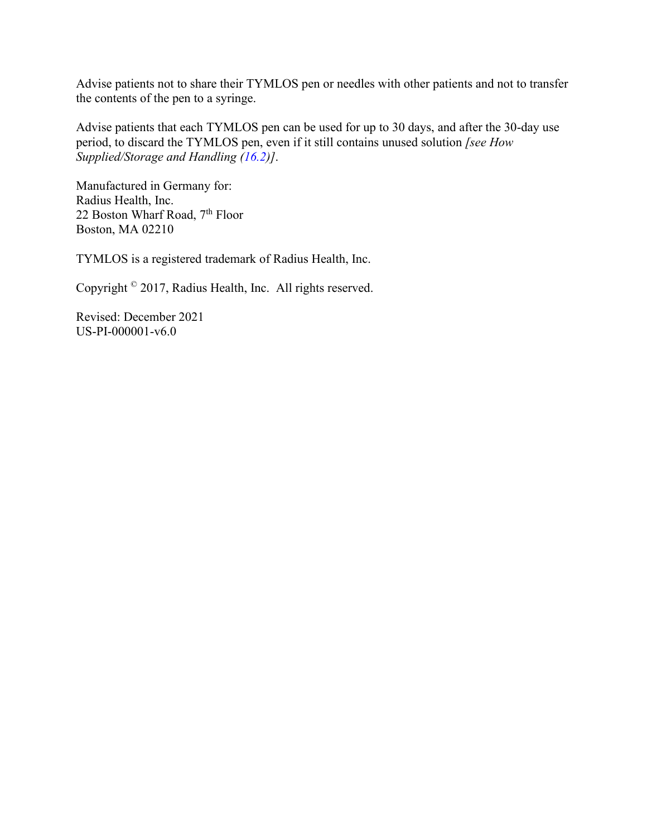Advise patients not to share their TYMLOS pen or needles with other patients and not to transfer the contents of the pen to a syringe.

Advise patients that each TYMLOS pen can be used for up to 30 days, and after the 30-day use period, to discard the TYMLOS pen, even if it still contains unused solution *[see How Supplied/Storage and Handling (16.2)]*.

Manufactured in Germany for: Radius Health, Inc. 22 Boston Wharf Road, 7<sup>th</sup> Floor Boston, MA 02210

TYMLOS is a registered trademark of Radius Health, Inc.

Copyright © 2017, Radius Health, Inc. All rights reserved.

Revised: December 2021 US-PI-000001-v6.0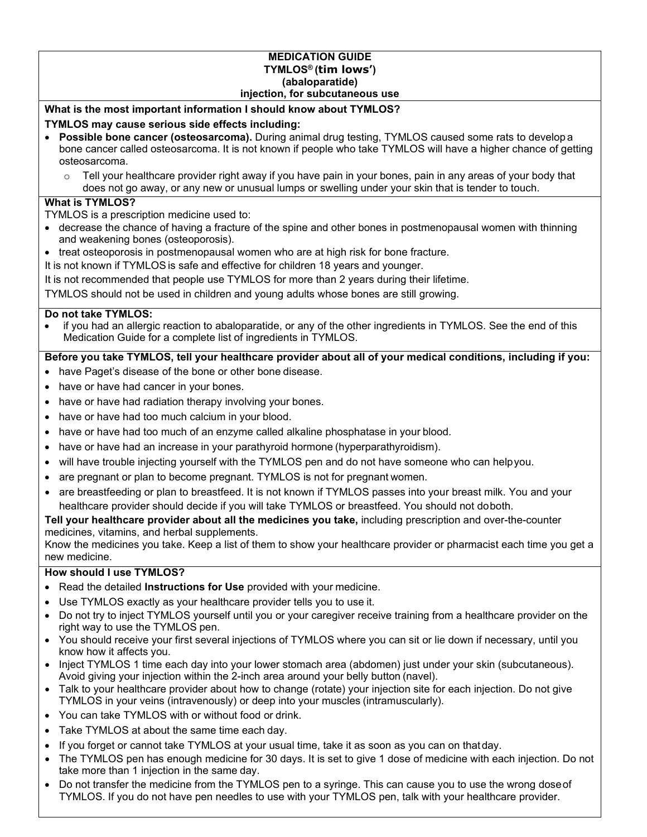#### **MEDICATION GUIDE TYMLOS® (tim lows') (abaloparatide) injection, for subcutaneous use**

#### **What is the most important information I should know about TYMLOS?**

#### **TYMLOS may cause serious side effects including:**

- **Possible bone cancer (osteosarcoma).** During animal drug testing, TYMLOS caused some rats to develop a bone cancer called osteosarcoma. It is not known if people who take TYMLOS will have a higher chance of getting osteosarcoma.
	- $\circ$  Tell your healthcare provider right away if you have pain in your bones, pain in any areas of your body that does not go away, or any new or unusual lumps or swelling under your skin that is tender to touch.

#### **What is TYMLOS?**

TYMLOS is a prescription medicine used to:

- decrease the chance of having a fracture of the spine and other bones in postmenopausal women with thinning and weakening bones (osteoporosis).
- treat osteoporosis in postmenopausal women who are at high risk for bone fracture.

It is not known if TYMLOS is safe and effective for children 18 years and younger.

It is not recommended that people use TYMLOS for more than 2 years during their lifetime.

TYMLOS should not be used in children and young adults whose bones are still growing.

#### **Do not take TYMLOS:**

if you had an allergic reaction to abaloparatide, or any of the other ingredients in TYMLOS. See the end of this Medication Guide for a complete list of ingredients in TYMLOS.

#### **Before you take TYMLOS, tell your healthcare provider about all of your medical conditions, including if you:**

- have Paget's disease of the bone or other bone disease.
- have or have had cancer in your bones.
- have or have had radiation therapy involving your bones.
- have or have had too much calcium in your blood.
- have or have had too much of an enzyme called alkaline phosphatase in your blood.
- have or have had an increase in your parathyroid hormone (hyperparathyroidism).
- will have trouble injecting yourself with the TYMLOS pen and do not have someone who can helpyou.
- are pregnant or plan to become pregnant. TYMLOS is not for pregnant women.
- are breastfeeding or plan to breastfeed. It is not known if TYMLOS passes into your breast milk. You and your healthcare provider should decide if you will take TYMLOS or breastfeed. You should not doboth.

**Tell your healthcare provider about all the medicines you take,** including prescription and over-the-counter medicines, vitamins, and herbal supplements.

Know the medicines you take. Keep a list of them to show your healthcare provider or pharmacist each time you get a new medicine.

#### **How should I use TYMLOS?**

- Read the detailed **Instructions for Use** provided with your medicine.
- Use TYMLOS exactly as your healthcare provider tells you to use it.
- Do not try to inject TYMLOS yourself until you or your caregiver receive training from a healthcare provider on the right way to use the TYMLOS pen.
- You should receive your first several injections of TYMLOS where you can sit or lie down if necessary, until you know how it affects you.
- Inject TYMLOS 1 time each day into your lower stomach area (abdomen) just under your skin (subcutaneous). Avoid giving your injection within the 2-inch area around your belly button (navel).
- Talk to your healthcare provider about how to change (rotate) your injection site for each injection. Do not give TYMLOS in your veins (intravenously) or deep into your muscles (intramuscularly).
- You can take TYMLOS with or without food or drink.
- Take TYMLOS at about the same time each day.
- If you forget or cannot take TYMLOS at your usual time, take it as soon as you can on that day.
- The TYMLOS pen has enough medicine for 30 days. It is set to give 1 dose of medicine with each injection. Do not take more than 1 injection in the same day.
- Do not transfer the medicine from the TYMLOS pen to a syringe. This can cause you to use the wrong doseof TYMLOS. If you do not have pen needles to use with your TYMLOS pen, talk with your healthcare provider.